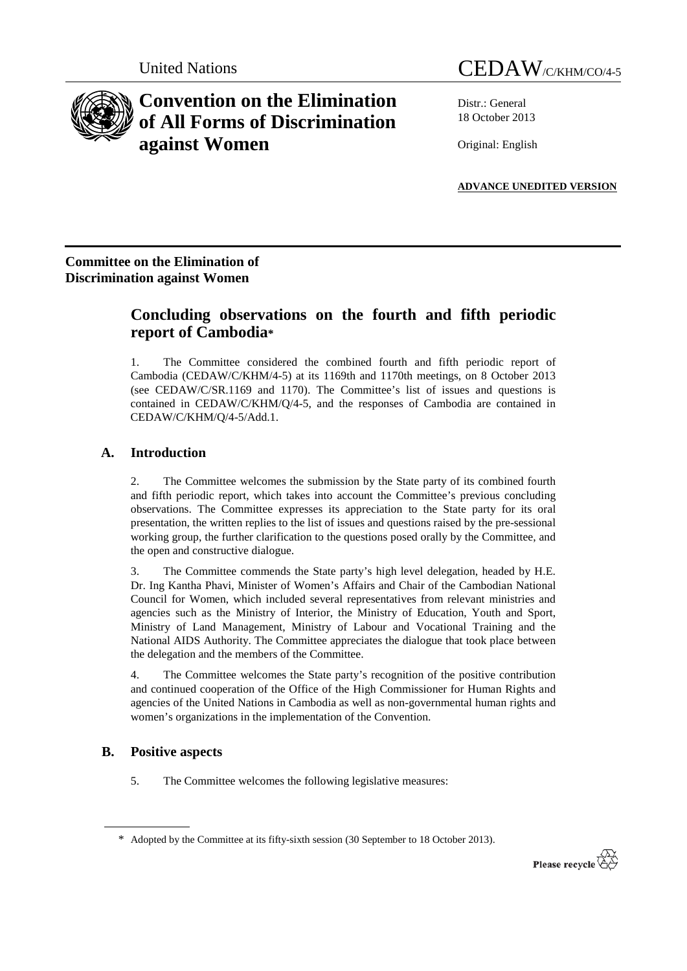# **Convention on the Elimination of All Forms of Discrimination against Women**

Distr.: General 18 October 2013

Original: English

**ADVANCE UNEDITED VERSION**

## **Committee on the Elimination of Discrimination against Women**

## **Concluding observations on the fourth and fifth periodic report of Cambodia\***

1. The Committee considered the combined fourth and fifth periodic report of Cambodia (CEDAW/C/KHM/4-5) at its 1169th and 1170th meetings, on 8 October 2013 (see CEDAW/C/SR.1169 and 1170). The Committee's list of issues and questions is contained in CEDAW/C/KHM/Q/4-5, and the responses of Cambodia are contained in CEDAW/C/KHM/Q/4-5/Add.1.

## **A. Introduction**

2. The Committee welcomes the submission by the State party of its combined fourth and fifth periodic report, which takes into account the Committee's previous concluding observations. The Committee expresses its appreciation to the State party for its oral presentation, the written replies to the list of issues and questions raised by the pre-sessional working group, the further clarification to the questions posed orally by the Committee, and the open and constructive dialogue.

3. The Committee commends the State party's high level delegation, headed by H.E. Dr. Ing Kantha Phavi, Minister of Women's Affairs and Chair of the Cambodian National Council for Women, which included several representatives from relevant ministries and agencies such as the Ministry of Interior, the Ministry of Education, Youth and Sport, Ministry of Land Management, Ministry of Labour and Vocational Training and the National AIDS Authority. The Committee appreciates the dialogue that took place between the delegation and the members of the Committee.

4. The Committee welcomes the State party's recognition of the positive contribution and continued cooperation of the Office of the High Commissioner for Human Rights and agencies of the United Nations in Cambodia as well as non-governmental human rights and women's organizations in the implementation of the Convention.

## **B. Positive aspects**

5. The Committee welcomes the following legislative measures:

<sup>\*</sup> Adopted by the Committee at its fifty-sixth session (30 September to 18 October 2013).

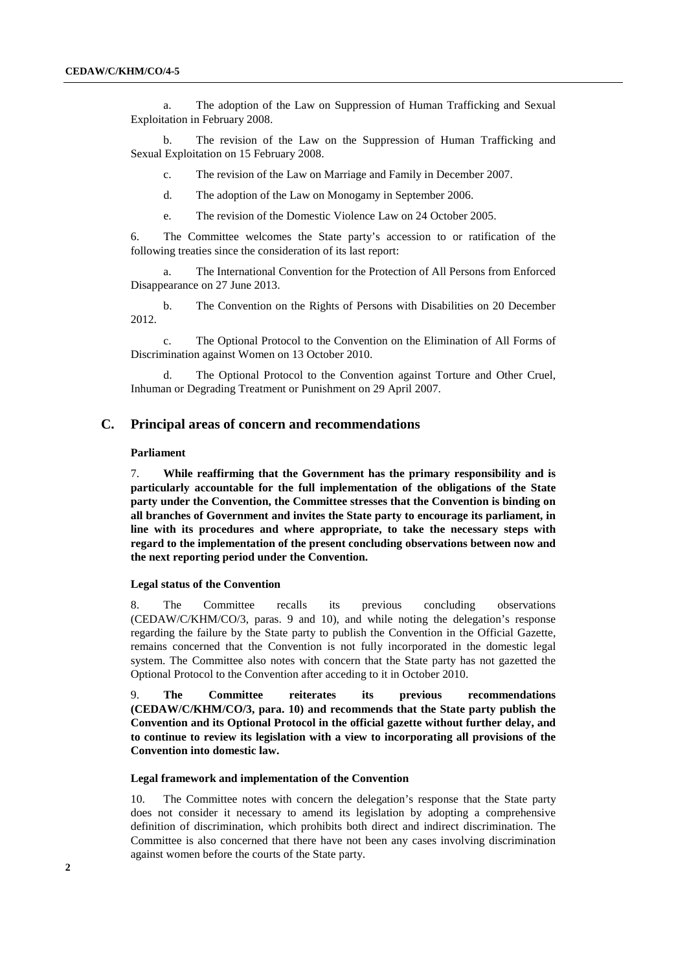a. The adoption of the Law on Suppression of Human Trafficking and Sexual Exploitation in February 2008.

b. The revision of the Law on the Suppression of Human Trafficking and Sexual Exploitation on 15 February 2008.

c. The revision of the Law on Marriage and Family in December 2007.

d. The adoption of the Law on Monogamy in September 2006.

e. The revision of the Domestic Violence Law on 24 October 2005.

6. The Committee welcomes the State party's accession to or ratification of the following treaties since the consideration of its last report:

The International Convention for the Protection of All Persons from Enforced Disappearance on 27 June 2013.

b. The Convention on the Rights of Persons with Disabilities on 20 December 2012.

c. The Optional Protocol to the Convention on the Elimination of All Forms of Discrimination against Women on 13 October 2010.

d. The Optional Protocol to the Convention against Torture and Other Cruel, Inhuman or Degrading Treatment or Punishment on 29 April 2007.

## **C. Principal areas of concern and recommendations**

#### **Parliament**

7. **While reaffirming that the Government has the primary responsibility and is particularly accountable for the full implementation of the obligations of the State party under the Convention, the Committee stresses that the Convention is binding on all branches of Government and invites the State party to encourage its parliament, in line with its procedures and where appropriate, to take the necessary steps with regard to the implementation of the present concluding observations between now and the next reporting period under the Convention.**

#### **Legal status of the Convention**

8. The Committee recalls its previous concluding observations (CEDAW/C/KHM/CO/3, paras. 9 and 10), and while noting the delegation's response regarding the failure by the State party to publish the Convention in the Official Gazette, remains concerned that the Convention is not fully incorporated in the domestic legal system. The Committee also notes with concern that the State party has not gazetted the Optional Protocol to the Convention after acceding to it in October 2010.

9. **The Committee reiterates its previous recommendations (CEDAW/C/KHM/CO/3, para. 10) and recommends that the State party publish the Convention and its Optional Protocol in the official gazette without further delay, and to continue to review its legislation with a view to incorporating all provisions of the Convention into domestic law.**

#### **Legal framework and implementation of the Convention**

10. The Committee notes with concern the delegation's response that the State party does not consider it necessary to amend its legislation by adopting a comprehensive definition of discrimination, which prohibits both direct and indirect discrimination. The Committee is also concerned that there have not been any cases involving discrimination against women before the courts of the State party.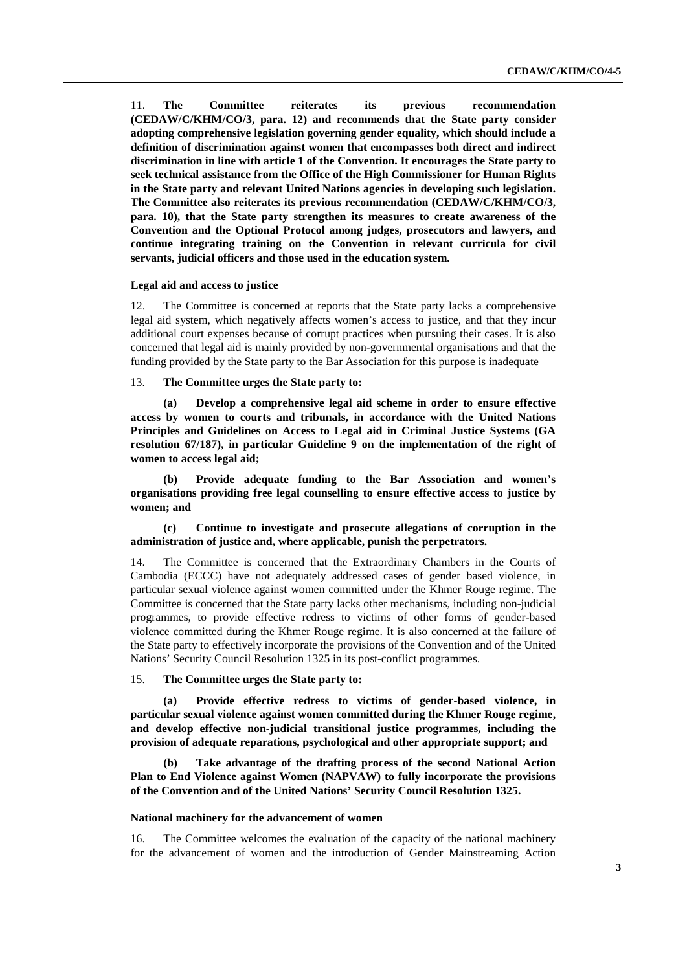11. **The Committee reiterates its previous recommendation (CEDAW/C/KHM/CO/3, para. 12) and recommends that the State party consider adopting comprehensive legislation governing gender equality, which should include a definition of discrimination against women that encompasses both direct and indirect discrimination in line with article 1 of the Convention. It encourages the State party to seek technical assistance from the Office of the High Commissioner for Human Rights in the State party and relevant United Nations agencies in developing such legislation. The Committee also reiterates its previous recommendation (CEDAW/C/KHM/CO/3, para. 10), that the State party strengthen its measures to create awareness of the Convention and the Optional Protocol among judges, prosecutors and lawyers, and continue integrating training on the Convention in relevant curricula for civil servants, judicial officers and those used in the education system.**

#### **Legal aid and access to justice**

12. The Committee is concerned at reports that the State party lacks a comprehensive legal aid system, which negatively affects women's access to justice, and that they incur additional court expenses because of corrupt practices when pursuing their cases. It is also concerned that legal aid is mainly provided by non-governmental organisations and that the funding provided by the State party to the Bar Association for this purpose is inadequate

#### 13. **The Committee urges the State party to:**

**(a) Develop a comprehensive legal aid scheme in order to ensure effective access by women to courts and tribunals, in accordance with the United Nations Principles and Guidelines on Access to Legal aid in Criminal Justice Systems (GA resolution 67/187), in particular Guideline 9 on the implementation of the right of women to access legal aid;**

**(b) Provide adequate funding to the Bar Association and women's organisations providing free legal counselling to ensure effective access to justice by women; and**

**(c) Continue to investigate and prosecute allegations of corruption in the administration of justice and, where applicable, punish the perpetrators.**

14. The Committee is concerned that the Extraordinary Chambers in the Courts of Cambodia (ECCC) have not adequately addressed cases of gender based violence, in particular sexual violence against women committed under the Khmer Rouge regime. The Committee is concerned that the State party lacks other mechanisms, including non-judicial programmes, to provide effective redress to victims of other forms of gender-based violence committed during the Khmer Rouge regime. It is also concerned at the failure of the State party to effectively incorporate the provisions of the Convention and of the United Nations' Security Council Resolution 1325 in its post-conflict programmes.

#### 15. **The Committee urges the State party to:**

**(a) Provide effective redress to victims of gender-based violence, in particular sexual violence against women committed during the Khmer Rouge regime, and develop effective non-judicial transitional justice programmes, including the provision of adequate reparations, psychological and other appropriate support; and**

**(b) Take advantage of the drafting process of the second National Action Plan to End Violence against Women (NAPVAW) to fully incorporate the provisions of the Convention and of the United Nations' Security Council Resolution 1325.**

#### **National machinery for the advancement of women**

16. The Committee welcomes the evaluation of the capacity of the national machinery for the advancement of women and the introduction of Gender Mainstreaming Action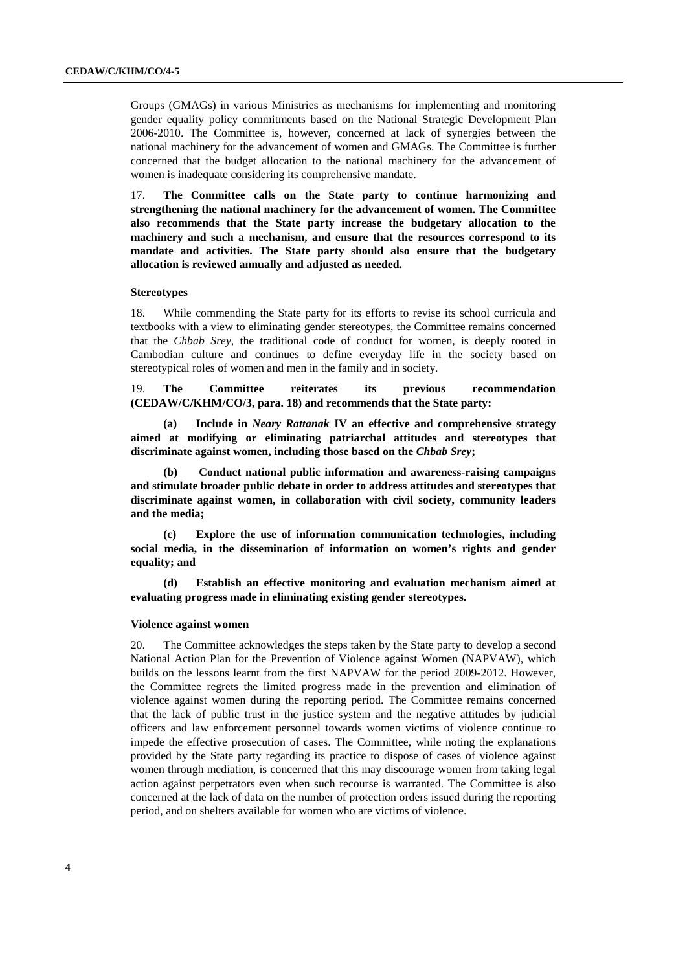Groups (GMAGs) in various Ministries as mechanisms for implementing and monitoring gender equality policy commitments based on the National Strategic Development Plan 2006-2010. The Committee is, however, concerned at lack of synergies between the national machinery for the advancement of women and GMAGs. The Committee is further concerned that the budget allocation to the national machinery for the advancement of women is inadequate considering its comprehensive mandate.

17. **The Committee calls on the State party to continue harmonizing and strengthening the national machinery for the advancement of women. The Committee also recommends that the State party increase the budgetary allocation to the machinery and such a mechanism, and ensure that the resources correspond to its mandate and activities. The State party should also ensure that the budgetary allocation is reviewed annually and adjusted as needed.**

#### **Stereotypes**

18. While commending the State party for its efforts to revise its school curricula and textbooks with a view to eliminating gender stereotypes, the Committee remains concerned that the *Chbab Srey,* the traditional code of conduct for women, is deeply rooted in Cambodian culture and continues to define everyday life in the society based on stereotypical roles of women and men in the family and in society.

19. **The Committee reiterates its previous recommendation (CEDAW/C/KHM/CO/3, para. 18) and recommends that the State party:**

**(a) Include in** *Neary Rattanak* **IV an effective and comprehensive strategy aimed at modifying or eliminating patriarchal attitudes and stereotypes that discriminate against women, including those based on the** *Chbab Srey***;**

**(b) Conduct national public information and awareness-raising campaigns and stimulate broader public debate in order to address attitudes and stereotypes that discriminate against women, in collaboration with civil society, community leaders and the media;**

**(c) Explore the use of information communication technologies, including social media, in the dissemination of information on women's rights and gender equality; and**

**(d) Establish an effective monitoring and evaluation mechanism aimed at evaluating progress made in eliminating existing gender stereotypes.**

#### **Violence against women**

20. The Committee acknowledges the steps taken by the State party to develop a second National Action Plan for the Prevention of Violence against Women (NAPVAW), which builds on the lessons learnt from the first NAPVAW for the period 2009-2012. However, the Committee regrets the limited progress made in the prevention and elimination of violence against women during the reporting period. The Committee remains concerned that the lack of public trust in the justice system and the negative attitudes by judicial officers and law enforcement personnel towards women victims of violence continue to impede the effective prosecution of cases. The Committee, while noting the explanations provided by the State party regarding its practice to dispose of cases of violence against women through mediation, is concerned that this may discourage women from taking legal action against perpetrators even when such recourse is warranted. The Committee is also concerned at the lack of data on the number of protection orders issued during the reporting period, and on shelters available for women who are victims of violence.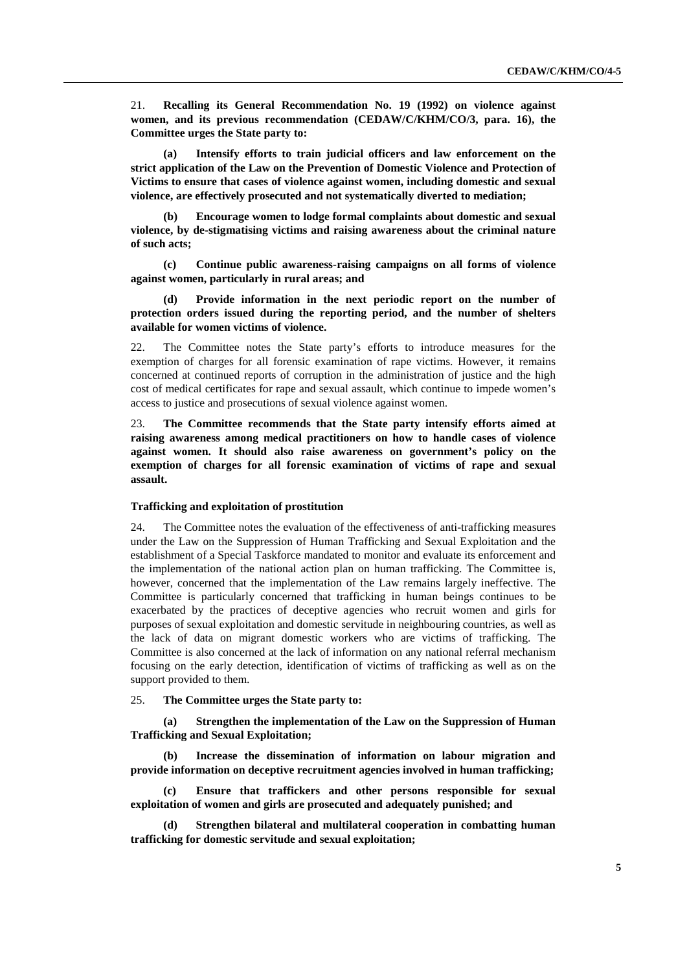21. **Recalling its General Recommendation No. 19 (1992) on violence against women, and its previous recommendation (CEDAW/C/KHM/CO/3, para. 16), the Committee urges the State party to:** 

**(a) Intensify efforts to train judicial officers and law enforcement on the strict application of the Law on the Prevention of Domestic Violence and Protection of Victims to ensure that cases of violence against women, including domestic and sexual violence, are effectively prosecuted and not systematically diverted to mediation;**

**(b) Encourage women to lodge formal complaints about domestic and sexual violence, by de-stigmatising victims and raising awareness about the criminal nature of such acts;**

**(c) Continue public awareness-raising campaigns on all forms of violence against women, particularly in rural areas; and**

**(d) Provide information in the next periodic report on the number of protection orders issued during the reporting period, and the number of shelters available for women victims of violence.**

22. The Committee notes the State party's efforts to introduce measures for the exemption of charges for all forensic examination of rape victims. However, it remains concerned at continued reports of corruption in the administration of justice and the high cost of medical certificates for rape and sexual assault, which continue to impede women's access to justice and prosecutions of sexual violence against women.

23. **The Committee recommends that the State party intensify efforts aimed at raising awareness among medical practitioners on how to handle cases of violence against women. It should also raise awareness on government's policy on the exemption of charges for all forensic examination of victims of rape and sexual assault.**

#### **Trafficking and exploitation of prostitution**

24. The Committee notes the evaluation of the effectiveness of anti-trafficking measures under the Law on the Suppression of Human Trafficking and Sexual Exploitation and the establishment of a Special Taskforce mandated to monitor and evaluate its enforcement and the implementation of the national action plan on human trafficking. The Committee is, however, concerned that the implementation of the Law remains largely ineffective. The Committee is particularly concerned that trafficking in human beings continues to be exacerbated by the practices of deceptive agencies who recruit women and girls for purposes of sexual exploitation and domestic servitude in neighbouring countries, as well as the lack of data on migrant domestic workers who are victims of trafficking. The Committee is also concerned at the lack of information on any national referral mechanism focusing on the early detection, identification of victims of trafficking as well as on the support provided to them.

### 25. **The Committee urges the State party to:**

**(a) Strengthen the implementation of the Law on the Suppression of Human Trafficking and Sexual Exploitation;**

**(b) Increase the dissemination of information on labour migration and provide information on deceptive recruitment agencies involved in human trafficking;**

**(c) Ensure that traffickers and other persons responsible for sexual exploitation of women and girls are prosecuted and adequately punished; and**

**(d) Strengthen bilateral and multilateral cooperation in combatting human trafficking for domestic servitude and sexual exploitation;**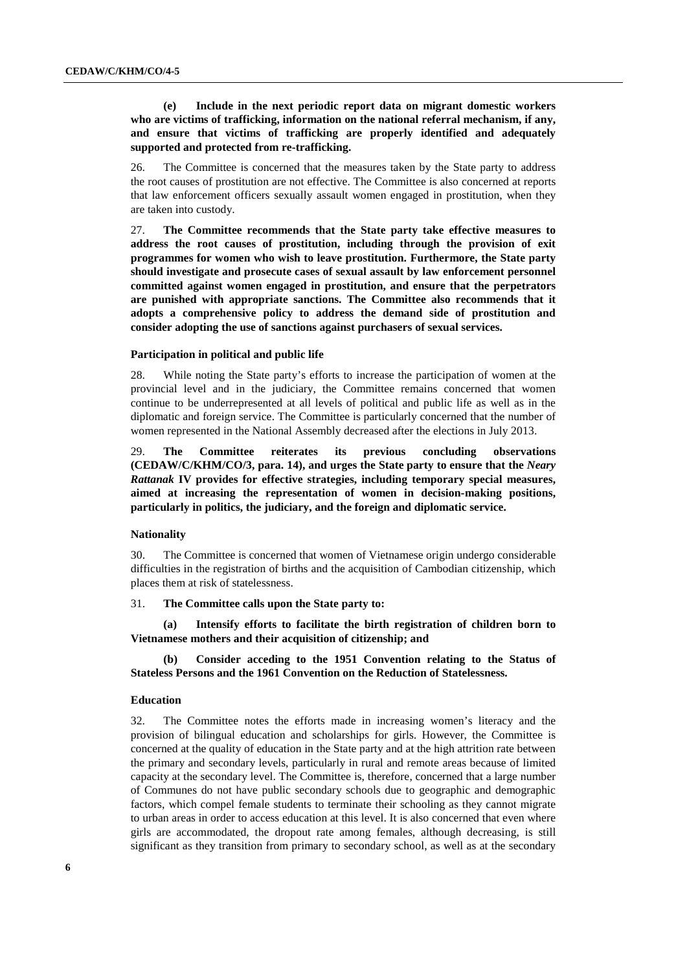## **(e) Include in the next periodic report data on migrant domestic workers who are victims of trafficking, information on the national referral mechanism, if any, and ensure that victims of trafficking are properly identified and adequately supported and protected from re-trafficking.**

26. The Committee is concerned that the measures taken by the State party to address the root causes of prostitution are not effective. The Committee is also concerned at reports that law enforcement officers sexually assault women engaged in prostitution, when they are taken into custody.

27. **The Committee recommends that the State party take effective measures to address the root causes of prostitution, including through the provision of exit programmes for women who wish to leave prostitution. Furthermore, the State party should investigate and prosecute cases of sexual assault by law enforcement personnel committed against women engaged in prostitution, and ensure that the perpetrators are punished with appropriate sanctions. The Committee also recommends that it adopts a comprehensive policy to address the demand side of prostitution and consider adopting the use of sanctions against purchasers of sexual services.**

#### **Participation in political and public life**

28. While noting the State party's efforts to increase the participation of women at the provincial level and in the judiciary, the Committee remains concerned that women continue to be underrepresented at all levels of political and public life as well as in the diplomatic and foreign service. The Committee is particularly concerned that the number of women represented in the National Assembly decreased after the elections in July 2013.

29. **The Committee reiterates its previous concluding observations (CEDAW/C/KHM/CO/3, para. 14), and urges the State party to ensure that the** *Neary Rattanak* **IV provides for effective strategies, including temporary special measures, aimed at increasing the representation of women in decision-making positions, particularly in politics, the judiciary, and the foreign and diplomatic service.**

#### **Nationality**

30. The Committee is concerned that women of Vietnamese origin undergo considerable difficulties in the registration of births and the acquisition of Cambodian citizenship, which places them at risk of statelessness.

## 31. **The Committee calls upon the State party to:**

**(a) Intensify efforts to facilitate the birth registration of children born to Vietnamese mothers and their acquisition of citizenship; and**

**(b) Consider acceding to the 1951 Convention relating to the Status of Stateless Persons and the 1961 Convention on the Reduction of Statelessness.**

#### **Education**

32. The Committee notes the efforts made in increasing women's literacy and the provision of bilingual education and scholarships for girls. However, the Committee is concerned at the quality of education in the State party and at the high attrition rate between the primary and secondary levels, particularly in rural and remote areas because of limited capacity at the secondary level. The Committee is, therefore, concerned that a large number of Communes do not have public secondary schools due to geographic and demographic factors, which compel female students to terminate their schooling as they cannot migrate to urban areas in order to access education at this level. It is also concerned that even where girls are accommodated, the dropout rate among females, although decreasing, is still significant as they transition from primary to secondary school, as well as at the secondary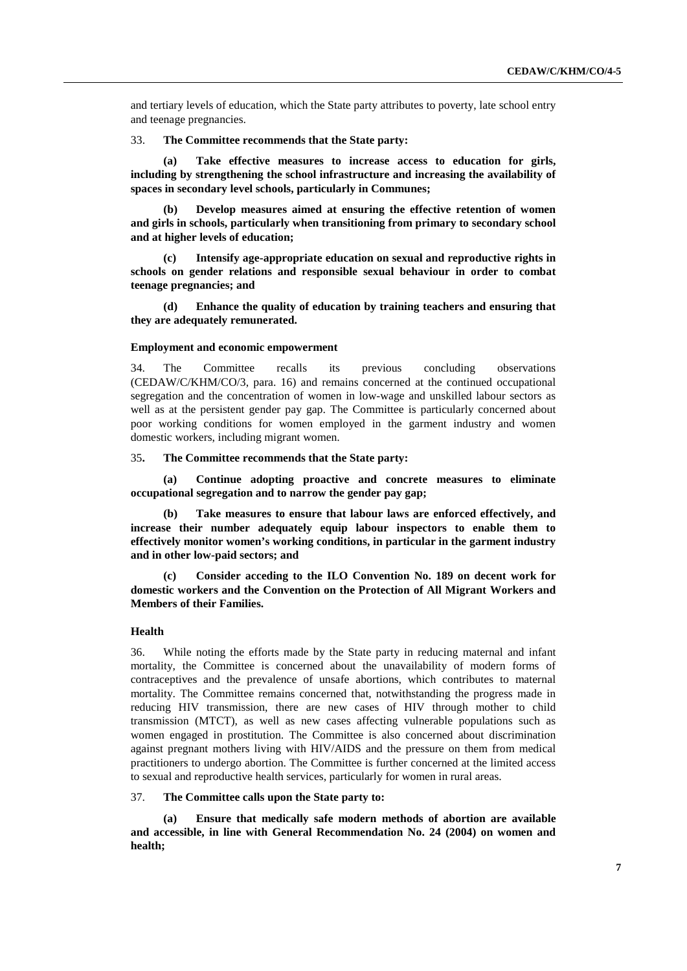and tertiary levels of education, which the State party attributes to poverty, late school entry and teenage pregnancies.

33. **The Committee recommends that the State party:**

**(a) Take effective measures to increase access to education for girls, including by strengthening the school infrastructure and increasing the availability of spaces in secondary level schools, particularly in Communes;**

**(b) Develop measures aimed at ensuring the effective retention of women and girls in schools, particularly when transitioning from primary to secondary school and at higher levels of education;** 

**(c) Intensify age-appropriate education on sexual and reproductive rights in schools on gender relations and responsible sexual behaviour in order to combat teenage pregnancies; and**

**(d) Enhance the quality of education by training teachers and ensuring that they are adequately remunerated.**

### **Employment and economic empowerment**

34. The Committee recalls its previous concluding observations (CEDAW/C/KHM/CO/3, para. 16) and remains concerned at the continued occupational segregation and the concentration of women in low-wage and unskilled labour sectors as well as at the persistent gender pay gap. The Committee is particularly concerned about poor working conditions for women employed in the garment industry and women domestic workers, including migrant women.

#### 35**. The Committee recommends that the State party:**

**(a) Continue adopting proactive and concrete measures to eliminate occupational segregation and to narrow the gender pay gap;** 

**(b) Take measures to ensure that labour laws are enforced effectively, and increase their number adequately equip labour inspectors to enable them to effectively monitor women's working conditions, in particular in the garment industry and in other low-paid sectors; and**

**(c) Consider acceding to the ILO Convention No. 189 on decent work for domestic workers and the Convention on the Protection of All Migrant Workers and Members of their Families.**

## **Health**

36. While noting the efforts made by the State party in reducing maternal and infant mortality, the Committee is concerned about the unavailability of modern forms of contraceptives and the prevalence of unsafe abortions, which contributes to maternal mortality. The Committee remains concerned that, notwithstanding the progress made in reducing HIV transmission, there are new cases of HIV through mother to child transmission (MTCT), as well as new cases affecting vulnerable populations such as women engaged in prostitution. The Committee is also concerned about discrimination against pregnant mothers living with HIV/AIDS and the pressure on them from medical practitioners to undergo abortion. The Committee is further concerned at the limited access to sexual and reproductive health services, particularly for women in rural areas.

### 37. **The Committee calls upon the State party to:**

**(a) Ensure that medically safe modern methods of abortion are available and accessible, in line with General Recommendation No. 24 (2004) on women and health;**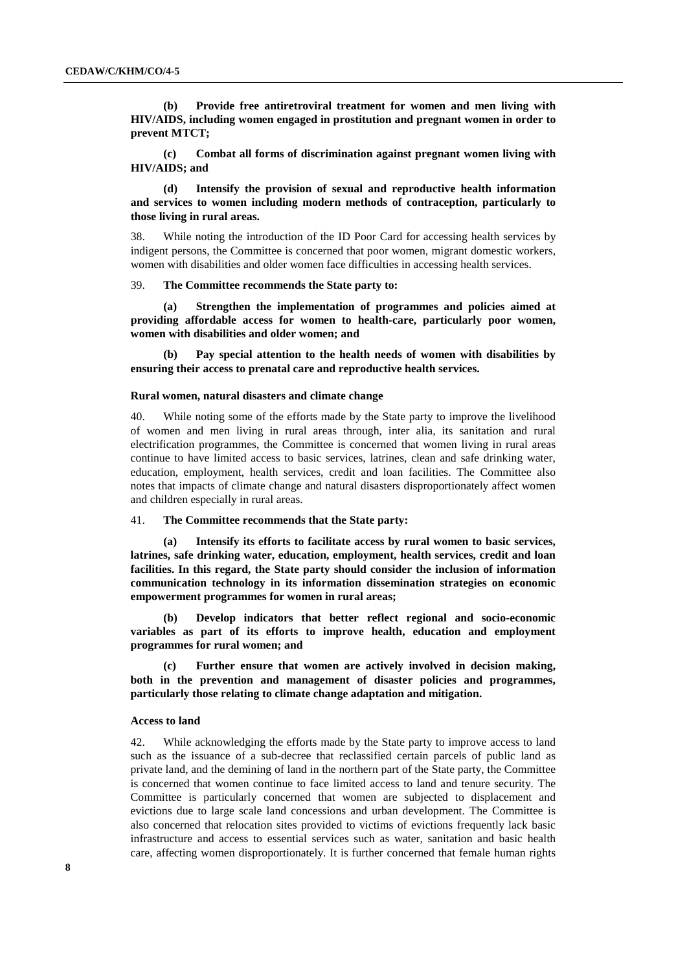**(b) Provide free antiretroviral treatment for women and men living with HIV/AIDS, including women engaged in prostitution and pregnant women in order to prevent MTCT;**

**(c) Combat all forms of discrimination against pregnant women living with HIV/AIDS; and** 

**(d) Intensify the provision of sexual and reproductive health information and services to women including modern methods of contraception, particularly to those living in rural areas.**

38. While noting the introduction of the ID Poor Card for accessing health services by indigent persons, the Committee is concerned that poor women, migrant domestic workers, women with disabilities and older women face difficulties in accessing health services.

39. **The Committee recommends the State party to:**

**(a) Strengthen the implementation of programmes and policies aimed at providing affordable access for women to health-care, particularly poor women, women with disabilities and older women; and**

**(b) Pay special attention to the health needs of women with disabilities by ensuring their access to prenatal care and reproductive health services.**

#### **Rural women, natural disasters and climate change**

40. While noting some of the efforts made by the State party to improve the livelihood of women and men living in rural areas through, inter alia, its sanitation and rural electrification programmes, the Committee is concerned that women living in rural areas continue to have limited access to basic services, latrines, clean and safe drinking water, education, employment, health services, credit and loan facilities. The Committee also notes that impacts of climate change and natural disasters disproportionately affect women and children especially in rural areas.

41. **The Committee recommends that the State party:**

**(a) Intensify its efforts to facilitate access by rural women to basic services, latrines, safe drinking water, education, employment, health services, credit and loan facilities. In this regard, the State party should consider the inclusion of information communication technology in its information dissemination strategies on economic empowerment programmes for women in rural areas;** 

**(b) Develop indicators that better reflect regional and socio-economic variables as part of its efforts to improve health, education and employment programmes for rural women; and**

**(c) Further ensure that women are actively involved in decision making, both in the prevention and management of disaster policies and programmes, particularly those relating to climate change adaptation and mitigation.**

#### **Access to land**

42. While acknowledging the efforts made by the State party to improve access to land such as the issuance of a sub-decree that reclassified certain parcels of public land as private land, and the demining of land in the northern part of the State party, the Committee is concerned that women continue to face limited access to land and tenure security. The Committee is particularly concerned that women are subjected to displacement and evictions due to large scale land concessions and urban development. The Committee is also concerned that relocation sites provided to victims of evictions frequently lack basic infrastructure and access to essential services such as water, sanitation and basic health care, affecting women disproportionately. It is further concerned that female human rights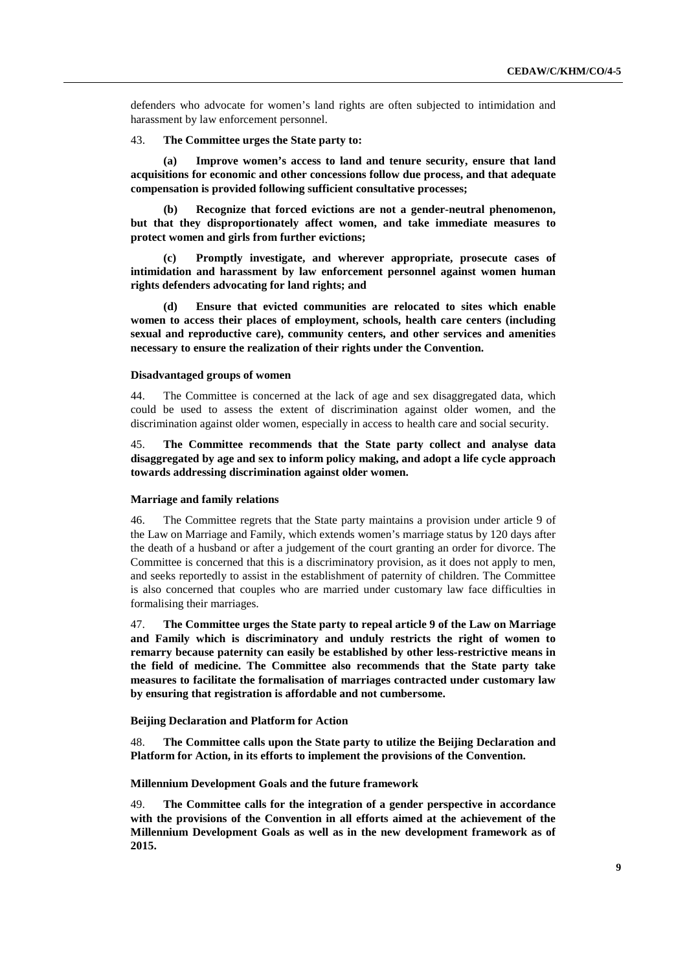defenders who advocate for women's land rights are often subjected to intimidation and harassment by law enforcement personnel.

#### 43. **The Committee urges the State party to:**

**(a) Improve women's access to land and tenure security, ensure that land acquisitions for economic and other concessions follow due process, and that adequate compensation is provided following sufficient consultative processes;**

**(b) Recognize that forced evictions are not a gender-neutral phenomenon, but that they disproportionately affect women, and take immediate measures to protect women and girls from further evictions;**

**(c) Promptly investigate, and wherever appropriate, prosecute cases of intimidation and harassment by law enforcement personnel against women human rights defenders advocating for land rights; and**

**(d) Ensure that evicted communities are relocated to sites which enable women to access their places of employment, schools, health care centers (including sexual and reproductive care), community centers, and other services and amenities necessary to ensure the realization of their rights under the Convention.**

#### **Disadvantaged groups of women**

44. The Committee is concerned at the lack of age and sex disaggregated data, which could be used to assess the extent of discrimination against older women, and the discrimination against older women, especially in access to health care and social security.

45. **The Committee recommends that the State party collect and analyse data disaggregated by age and sex to inform policy making, and adopt a life cycle approach towards addressing discrimination against older women.**

## **Marriage and family relations**

46. The Committee regrets that the State party maintains a provision under article 9 of the Law on Marriage and Family, which extends women's marriage status by 120 days after the death of a husband or after a judgement of the court granting an order for divorce. The Committee is concerned that this is a discriminatory provision, as it does not apply to men, and seeks reportedly to assist in the establishment of paternity of children. The Committee is also concerned that couples who are married under customary law face difficulties in formalising their marriages.

47. **The Committee urges the State party to repeal article 9 of the Law on Marriage and Family which is discriminatory and unduly restricts the right of women to remarry because paternity can easily be established by other less-restrictive means in the field of medicine. The Committee also recommends that the State party take measures to facilitate the formalisation of marriages contracted under customary law by ensuring that registration is affordable and not cumbersome.**

#### **Beijing Declaration and Platform for Action**

48. **The Committee calls upon the State party to utilize the Beijing Declaration and Platform for Action, in its efforts to implement the provisions of the Convention.**

#### **Millennium Development Goals and the future framework**

49. **The Committee calls for the integration of a gender perspective in accordance with the provisions of the Convention in all efforts aimed at the achievement of the Millennium Development Goals as well as in the new development framework as of 2015.**